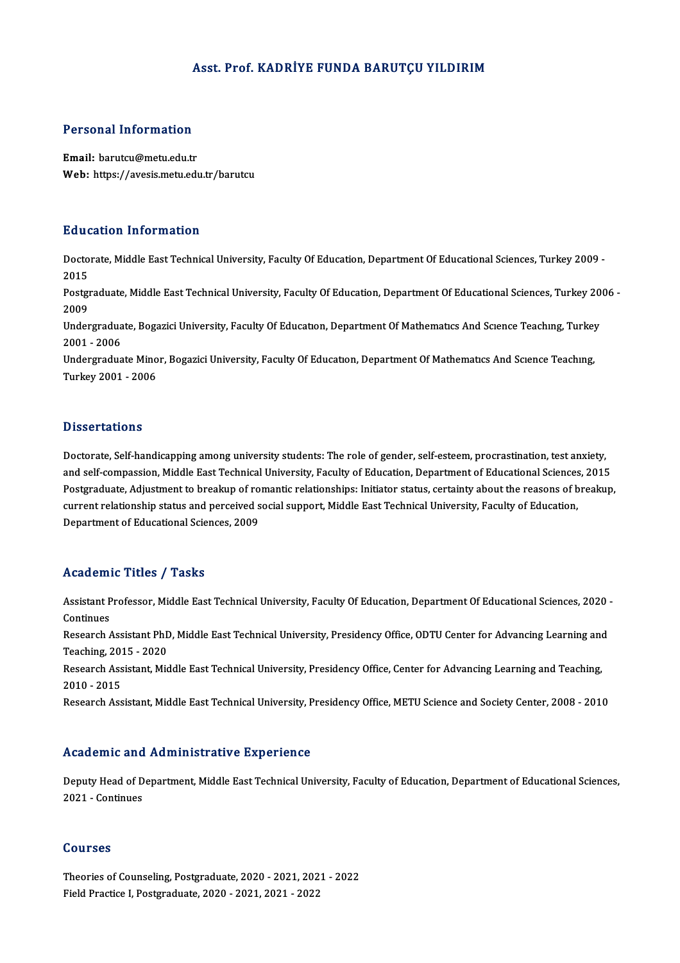### Asst. Prof. KADRİYE FUNDA BARUTÇU YILDIRIM

# Personal Information

Personal Information<br>Email: barutcu@metu.edu.tr<br>Web: https://avesis.metu.edu Email: barutcu@metu.edu.tr<br>Web: https://avesis.metu.edu.tr/barutcu

#### Education Information

**Education Information**<br>Doctorate, Middle East Technical University, Faculty Of Education, Department Of Educational Sciences, Turkey 2009 -<br>2015 Bata<br>Docto<br>2015 Doctorate, Middle East Technical University, Faculty Of Education, Department Of Educational Sciences, Turkey 2009 -<br>2015<br>Postgraduate, Middle East Technical University, Faculty Of Education, Department Of Educational Scie

2015<br>Postgi<br>2009<br>Under Postgraduate, Middle East Technical University, Faculty Of Education, Department Of Educational Sciences, Turkey 20<br>2009<br>Undergraduate, Bogazici University, Faculty Of Education, Department Of Mathematics And Science Teach

2009<br>Undergradua<br>2001 - 2006<br>Undergradua Undergraduate, Bogazici University, Faculty Of Education, Department Of Mathematics And Science Teaching, Turkey<br>2001 - 2006<br>Undergraduate Minor, Bogazici University, Faculty Of Education, Department Of Mathematics And Sci

2001 - 2006<br>Undergraduate Minor, Bogazici University, Faculty Of Education, Department Of Mathematics And Science Teaching,<br>Turkey 2001 - 2006

#### **Dissertations**

Doctorate, Self-handicapping among university students: The role of gender, self-esteem, procrastination, test anxiety, and self-compassion, Middle East Technical University, Faculty of Education, Department of Educational Sciences, 2015 Postgraduate,Adjustment to breakup of romantic relationships: Initiator status, certainty about the reasons of breakup, and self-compassion, Middle East Technical University, Faculty of Education, Department of Educational Sciences<br>Postgraduate, Adjustment to breakup of romantic relationships: Initiator status, certainty about the reasons o Postgraduate, Adjustment to breakup of ro<br>current relationship status and perceived s<br>Department of Educational Sciences, 2009 Department of Educational Sciences, 2009<br>Academic Titles / Tasks

Academic Titles / Tasks<br>Assistant Professor, Middle East Technical University, Faculty Of Education, Department Of Educational Sciences, 2020 -<br>Continues Assistant P<br>Continues<br>Pessarsh Assistant Professor, Middle East Technical University, Faculty Of Education, Department Of Educational Sciences, 2020<br>Continues<br>Research Assistant PhD, Middle East Technical University, Presidency Office, ODTU Center for A Continues<br>Research Assistant PhD, Middle East Technical University, Presidency Office, ODTU Center for Advancing Learning and<br>Teaching, 2015 - 2020 Research Assistant PhD, Middle East Technical University, Presidency Office, ODTU Center for Advancing Learning and<br>Teaching, 2015 - 2020<br>Research Assistant, Middle East Technical University, Presidency Office, Center for Teaching, 201<br>Research Ass<br>2010 - 2015<br>Besearch Ass Research Assistant, Middle East Technical University, Presidency Office, Center for Advancing Learning and Teaching,<br>2010 - 2015<br>Research Assistant, Middle East Technical University, Presidency Office, METU Science and Soc Research Assistant, Middle East Technical University, Presidency Office, METU Science and Society Center, 2008 - 2010<br>Academic and Administrative Experience

Academic and Administrative Experience<br>Deputy Head of Department, Middle East Technical University, Faculty of Education, Department of Educational Sciences, 2021 - Continues<br>2021 - Continues<br>2021 - Continues 2021 - Continues<br>Courses

Theories of Counseling, Postgraduate, 2020 - 2021, 2021 - 2022 Field Practice I, Postgraduate, 2020 - 2021, 2021 - 2022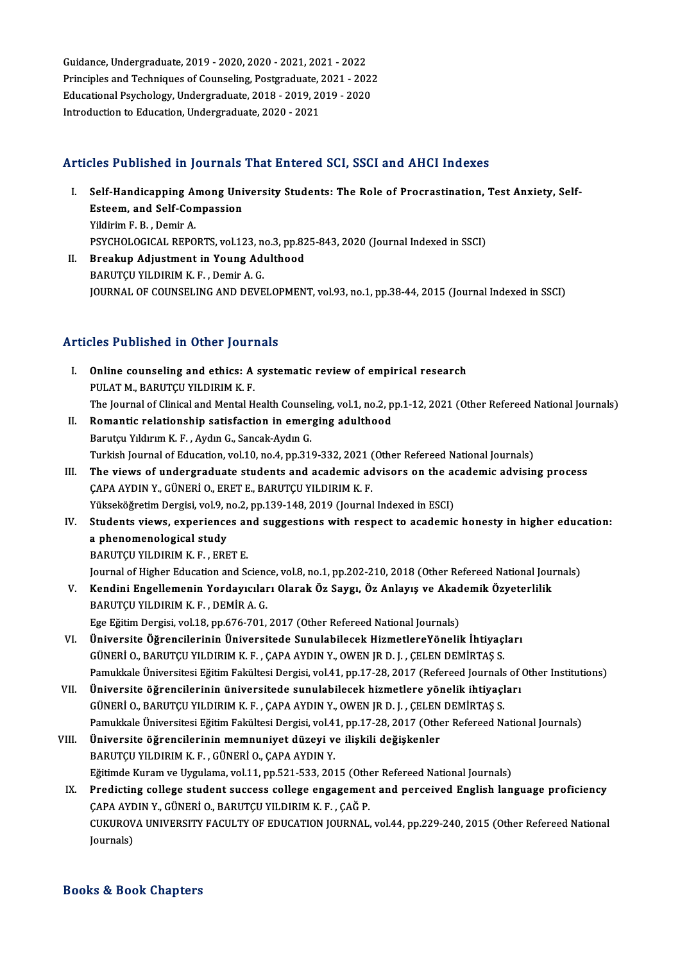Guidance,Undergraduate,2019 -2020,2020 -2021,2021 -2022 Guidance, Undergraduate, 2019 - 2020, 2020 - 2021, 2021 - 2022<br>Principles and Techniques of Counseling, Postgraduate, 2021 - 2022<br>Educational Baychology, Undergraduate, 2019, 2010, 2010, 2020 Guidance, Undergraduate, 2019 - 2020, 2020 - 2021, 2021 - 2022<br>Principles and Techniques of Counseling, Postgraduate, 2021 - 2021<br>Educational Psychology, Undergraduate, 2018 - 2019, 2019 - 2020<br>Introduction to Education, U Principles and Techniques of Counseling, Postgraduate, 2021 - 2022<br>Educational Psychology, Undergraduate, 2018 - 2019, 2019 - 2020<br>Introduction to Education, Undergraduate, 2020 - 2021

## Articles Published in Journals That Entered SCI, SSCI and AHCI Indexes

- rticles Published in Journals That Entered SCI, SSCI and AHCI Indexes<br>I. Self-Handicapping Among University Students: The Role of Procrastination, Test Anxiety, Self-Self-Handicapping Among Uni<br>Esteem, and Self-Compassion<br>Vildinim E. P., Domin A Self-Handicapping Al<br>Esteem, and Self-Con<br>Yildirim F. B. , Demir A.<br>PSYCHOLOCICAL PERO Esteem, and Self-Compassion<br>Yildirim F. B. , Demir A.<br>PSYCHOLOGICAL REPORTS, vol.123, no.3, pp.825-843, 2020 (Journal Indexed in SSCI)<br>Preakun Adjustment in Young Adulthood
- Yildirim F. B. , Demir A.<br>PSYCHOLOGICAL REPORTS, vol.123, no.3, pp.82<br>II. Breakup Adjustment in Young Adulthood<br>BARUTCU YILDIRIM K. F. , Demir A. G. PSYCHOLOGICAL REPORTS, vol.123, n<br>Breakup Adjustment in Young Ad<br>BARUTÇU YILDIRIM K. F. , Demir A. G.<br>JOUPMAL OF COUNSELING AND DEVE JOURNAL OF COUNSELING AND DEVELOPMENT, vol.93, no.1, pp.38-44, 2015 (Journal Indexed in SSCI)

### Articles Published in Other Journals

- Thicles Published in Other Journals<br>I. Online counseling and ethics: A systematic review of empirical research<br>PULATM PARITCU VU DIRIM K F PULAT M., BARUTÇU YILDIRIM K.F.<br>PULAT M., BARUTÇU YILDIRIM K.F.<br>The Journal of Clinical and Montal H Online counseling and ethics: A systematic review of empirical research<br>PULAT M., BARUTÇU YILDIRIM K. F.<br>The Journal of Clinical and Mental Health Counseling, vol.1, no.2, pp.1-12, 2021 (Other Refereed National Journals)<br>P PULAT M., BARUTÇU YILDIRIM K. F.<br>The Journal of Clinical and Mental Health Counseling, vol.1, no.2, p<br>II. Romantic relationship satisfaction in emerging adulthood<br>Barutçu Yıldırım K. F., Aydın G., Sancak-Aydın G.
- The Journal of Clinical and Mental Health Counse<br>**Romantic relationship satisfaction in emer**<br>Barutçu Yıldırım K. F. , Aydın G., Sancak-Aydın G.<br>Turkich Journal of Education val 10, no 4, np 31 Turkish Journal of Education, vol.10, no.4, pp.319-332, 2021 (Other Refereed National Journals)
- III. The views of undergraduate students and academic advisors on the academic advising process ÇAPAAYDINY.,GÜNERİO.,ERETE.,BARUTÇUYILDIRIMK.F. The views of undergraduate students and academic advisors on the acception of the state of the SCI)<br>CAPA AYDIN Y., GÜNERİ O., ERET E., BARUTÇU YILDIRIM K. F.<br>Yükseköğretim Dergisi, vol.9, no.2, pp.139-148, 2019 (Journal In CAPA AYDIN Y., GÜNERİ O., ERET E., BARUTÇU YILDIRIM K. F.<br>Yükseköğretim Dergisi, vol.9, no.2, pp.139-148, 2019 (Journal Indexed in ESCI)<br>IV. Students views, experiences and suggestions with respect to academic honesty in h
- Yükseköğretim Dergisi, vol.9, r<br>Students views, experience<br>a phenomenological study<br>PAPUTCU VU DIBIM K E ERE Students views, experiences ar<br>a phenomenological study<br>BARUTÇU YILDIRIM K.F., ERET E.<br>Journal of Hisbor Education and S a phenomenological study<br>BARUTÇU YILDIRIM K. F. , ERET E.<br>Journal of Higher Education and Science, vol.8, no.1, pp.202-210, 2018 (Other Refereed National Journals)
- BARUTÇU YILDIRIM K. F. , ERET E.<br>Journal of Higher Education and Science, vol.8, no.1, pp.202-210, 2018 (Other Refereed National Journal of Higher Education and Science, vol.8, no.1, pp.202-210, 2018 (Other Refereed Nation Journal of Higher Education and Scienc<br>Kendini Engellemenin Yordayıcılar<br>BARUTÇU YILDIRIM K. F. , DEMİR A. G.<br>Fee Făitim Dergisi vel 18 nn 676 701 Kendini Engellemenin Yordayıcıları Olarak Öz Saygı, Öz Anlayış ve Akad<br>BARUTÇU YILDIRIM K. F. , DEMİR A. G.<br>Ege Eğitim Dergisi, vol.18, pp.676-701, 2017 (Other Refereed National Journals)<br>Üniversite Öğrensilerinin Üniversi BARUTÇU YILDIRIM K. F. , DEMİR A. G.<br>Ege Eğitim Dergisi, vol.18, pp.676-701, 2017 (Other Refereed National Journals)<br>VI. Üniversite Öğrencilerinin Üniversitede Sunulabilecek HizmetlereYönelik İhtiyaçları

- Ege Eğitim Dergisi, vol.18, pp.676-701, 2017 (Other Refereed National Journals)<br>Üniversite Öğrencilerinin Üniversitede Sunulabilecek HizmetlereYönelik İhtiyaç<br>GÜNERİ O., BARUTÇU YILDIRIM K. F. , ÇAPA AYDIN Y., OWEN JR D. J GÜNERİ 0., BARUTÇU YILDIRIM K. F. , ÇAPA AYDIN Y., OWEN JR D. J. , ÇELEN DEMİRTAŞ S.<br>Pamukkale Üniversitesi Eğitim Fakültesi Dergisi, vol.41, pp.17-28, 2017 (Refereed Journals of<br>VII. Üniversite öğrencilerinin üniversitede
- Pamukkale Üniversitesi Eğitim Fakültesi Dergisi, vol.41, pp.17-28, 2017 (Refereed Journals of Other Institutions)<br>Üniversite öğrencilerinin üniversitede sunulabilecek hizmetlere yönelik ihtiyaçları GÜNERİO.,BARUTÇUYILDIRIMK.F. ,ÇAPAAYDINY.,OWENJRD. J. ,ÇELENDEMİRTAŞ S. Pamukkale Üniversitesi Eğitim Fakültesi Dergisi, vol.41, pp.17-28, 2017 (Other Refereed National Journals)
- VIII. Üniversite öğrencilerinin memnuniyet düzeyi ve ilişkili değişkenler BARUTÇU YILDIRIM K.F., GÜNERİ O., ÇAPA AYDIN Y. Eğitimde Kuram ve Uygulama, vol.11, pp.521-533, 2015 (Other Refereed National Journals)

IX. Predicting college student success college engagement and perceived English language proficiency Eğitimde Kuram ve Uygulama, vol.11, pp.521-533, 2015 (Othe<br>Predicting college student success college engagemen<br>ÇAPA AYDIN Y., GÜNERİ O., BARUTÇU YILDIRIM K. F. , ÇAĞ P.<br>CUKUROVA UNIVERSITY FACULTY OF EDUCATION JOURNAL CUKUROVA UNIVERSITY FACULTY OF EDUCATION JOURNAL, vol.44, pp.229-240, 2015 (Other Refereed National<br>Journals) ÇAPA AYE<br>CUKUROV<br>Journals)

### Books&Book Chapters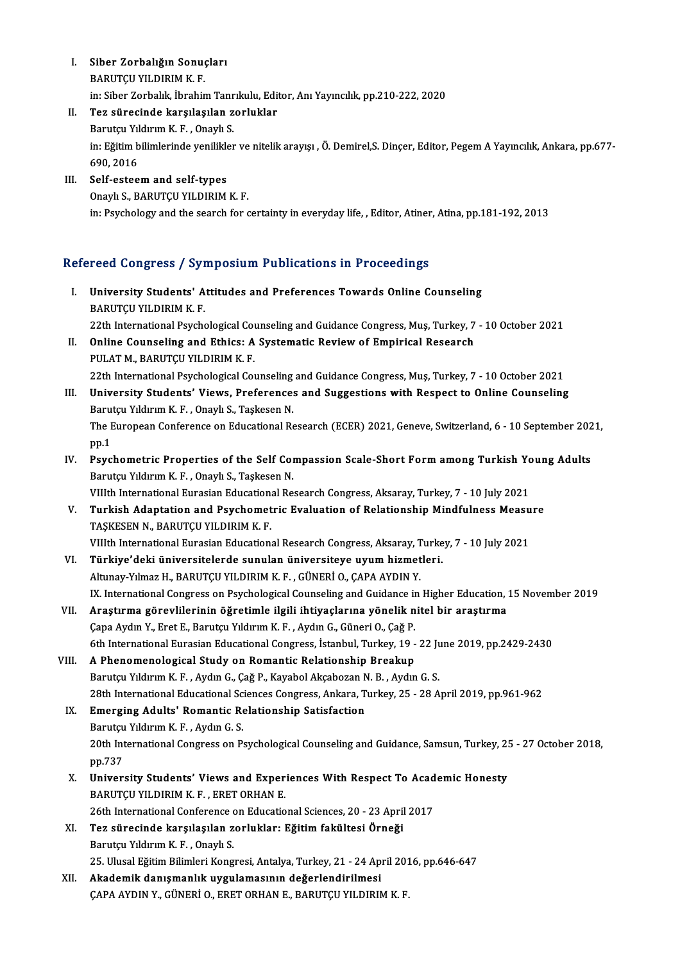- I.<br>I. Siber Zorbalığın Sonuçları<br>PARIITCILVILDIPIM K.F. Siber Zorbalığın Sonuç<br>BARUTÇU YILDIRIM K. F.<br>in: Siber Zerbalık İbrabir Siber Zorbalığın Sonuçları<br>BARUTÇU YILDIRIM K. F.<br>in: Siber Zorbalık, İbrahim Tanrıkulu, Editor, Anı Yayıncılık, pp.210-222, 2020<br>Ten sünesinde kanalasılan sonluklar BARUTÇU YILDIRIM K. F.<br>in: Siber Zorbalık, İbrahim Tanrıkulu, Edi<br>II. Tez sürecinde karşılaşılan zorluklar
- in: Siber Zorbalık, İbrahim Tanr<br><mark>Tez sürecinde karşılaşılan z</mark><br>Barutçu Yıldırım K. F. , Onaylı S.<br>in: Eğitim bilimlerinde yenililder in: Eğitim bilimlerinde yenilikler ve nitelik arayışı , Ö. Demirel,S. Dinçer, Editor, Pegem A Yayıncılık, Ankara, pp.677-690, 2016 Barutçu Yıldırım K.F., Onaylı S.
- III. Self-esteem and self-types Onaylı S., BARUTÇU YILDIRIM K.F. in: Psychology and the search for certainty in everyday life, , Editor, Atiner, Atina, pp.181-192, 2013

## Refereed Congress / Symposium Publications in Proceedings

- efereed Congress / Symposium Publications in Proceedings<br>I. University Students' Attitudes and Preferences Towards Online Counseling<br>RAPUTCU VU DIBLA K F 1994 Gongress 7 Syr<br>University Students' A<br>BARUTÇU YILDIRIM K.F. BARUTÇU YILDIRIM K. F.<br>22th International Psychological Counseling and Guidance Congress, Muş, Turkey, 7 - 10 October 2021 BARUTÇU YILDIRIM K. F.<br>22th International Psychological Counseling and Guidance Congress, Muş, Turkey, 7<br>II. Online Counseling and Ethics: A Systematic Review of Empirical Research<br>PULATM, BARUTCU VU DIRIM K. F.
- 22th International Psychological Coordine Counseling and Ethics: A<br>PULAT M., BARUTÇU YILDIRIM K.F. PULAT M., BARUTÇU YILDIRIM K. F.<br>22th International Psychological Counseling and Guidance Congress, Muş, Turkey, 7 - 10 October 2021 PULAT M., BARUTÇU YILDIRIM K. F.<br>22th International Psychological Counseling and Guidance Congress, Muş, Turkey, 7 - 10 October 2021<br>III. University Students' Views, Preferences and Suggestions with Respect to Online Couns
- 22th International Psychological Counseling<br>University Students' Views, Preference:<br>Barutçu Yıldırım K. F. , Onaylı S., Taşkesen N.<br>The European Conference on Educational Be University Students' Views, Preferences and Suggestions with Respect to Online Counseling<br>Barutçu Yıldırım K. F. , Onaylı S., Taşkesen N.<br>The European Conference on Educational Research (ECER) 2021, Geneve, Switzerland, 6 Barutçu Yıldırım K. F. , Onaylı S., Taşkesen N.<br>The European Conference on Educational Research (ECER) 2021, Geneve, Switzerland, 6 - 10 September 2021, pp.1 The European Conference on Educational Research (ECER) 2021, Geneve, Switzerland, 6 - 10 September 202<br>pp.1<br>IV. Psychometric Properties of the Self Compassion Scale-Short Form among Turkish Young Adults<br>Poputau Vilduum K.E
- pp.1<br>Psychometric Properties of the Self Com<br>Barutçu Yıldırım K. F. , Onaylı S., Taşkesen N.<br>Wilth International Eurosian Educational Bo Psychometric Properties of the Self Compassion Scale-Short Form among Turkish Yo<br>Barutçu Yıldırım K. F. , Onaylı S., Taşkesen N.<br>VIIIth International Eurasian Educational Research Congress, Aksaray, Turkey, 7 - 10 July 202 Barutçu Yıldırım K. F. , Onaylı S., Taşkesen N.<br>1992 - V. V. Turkey, 7 - 10 July 2021<br>1992 - V. Turkish Adaptation and Psychometric Evaluation of Relationship Mindfulness Measure
- TAŞKESEN N., BARUTÇU YILDIRIM K.F. Turkish Adaptation and Psychometric Evaluation of Relationship Mindfulness Measu<br>TAŞKESEN N., BARUTÇU YILDIRIM K. F.<br>VIIIth International Eurasian Educational Research Congress, Aksaray, Turkey, 7 - 10 July 2021<br>Türkiye'de TAŞKESEN N., BARUTÇU YILDIRIM K. F.<br>VIIIth International Eurasian Educational Research Congress, Aksaray, Turke<br>VI. Türkiye'deki üniversitelerde sunulan üniversiteye uyum hizmetleri.<br>Altunay Yılmaz H. BARITCU VII DIRIM K.
- VIIIth International Eurasian Educational Research Congress, Aksaray, T<br>Türkiye'deki üniversitelerde sunulan üniversiteye uyum hizmet<br>Altunay-Yılmaz H., BARUTÇU YILDIRIM K. F. , GÜNERİ O., ÇAPA AYDIN Y.<br>IV. International C VI. Türkiye'deki üniversitelerde sunulan üniversiteye uyum hizmetleri.<br>Altunay-Yılmaz H., BARUTÇU YILDIRIM K. F. , GÜNERİ O., ÇAPA AYDIN Y.<br>IX. International Congress on Psychological Counseling and Guidance in Higher Educ
- VII. Araştırma görevlilerinin öğretimle ilgili ihtiyaçlarına yönelik nitel bir araştırma Çapa Aydın Y., Eret E., Barutçu Yıldırım K. F., Aydın G., Güneri O., Çağ P. Araştırma görevlilerinin öğretimle ilgili ihtiyaçlarına yönelik nitel bir araştırma<br>Çapa Aydın Y., Eret E., Barutçu Yıldırım K. F. , Aydın G., Güneri O., Çağ P.<br>6th International Eurasian Educational Congress, İstanbul, Tu
- VIII. A Phenomenological Study on Romantic Relationship Breakup<br>Barutçu Yıldırım K. F., Aydın G., Çağ P., Kayabol Akçabozan N. B., Aydın G. S. 6th International Eurasian Educational Congress, İstanbul, Turkey, 19 - 22 Ju<br>A Phenomenological Study on Romantic Relationship Breakup<br>Barutçu Yıldırım K. F. , Aydın G., Çağ P., Kayabol Akçabozan N. B. , Aydın G. S.<br>29th A Phenomenological Study on Romantic Relationship Breakup<br>Barutçu Yıldırım K. F. , Aydın G., Çağ P., Kayabol Akçabozan N. B. , Aydın G. S.<br>28th International Educational Sciences Congress, Ankara, Turkey, 25 - 28 April 201
	- IX. Emerging Adults' Romantic Relationship Satisfaction 28th International Educational Sc.<br>Emerging Adults' Romantic Re<br>Barutçu Yıldırım K. F. , Aydın G. S.<br>20th International Congress on B. 20th International Congress on Psychological Counseling and Guidance, Samsun, Turkey, 25 - 27 October 2018, pp.737 Barutçu Yıldırım K.F., Aydın G.S. 20th International Congress on Psychological Counseling and Guidance, Samsun, Turkey, 29<br>pp.737<br>X. University Students' Views and Experiences With Respect To Academic Honesty<br>PAPUTCU VU DIPIM K.E., ERET ORHAN E
	- pp.737<br>University Students' Views and Exper<br>BARUTÇU YILDIRIM K. F. , ERET ORHAN E.<br>26th International Conference on Educatio University Students' Views and Experiences With Respect To Acad<br>BARUTÇU YILDIRIM K. F. , ERET ORHAN E.<br>26th International Conference on Educational Sciences, 20 - 23 April 2017<br>Ter sünesinde kansılasılan reglukları Eğitim BARUTÇU YILDIRIM K. F., ERET ORHAN E.<br>26th International Conference on Educational Sciences, 20 - 23 April<br>XI. Tez sürecinde karşılaşılan zorluklar: Eğitim fakültesi Örneği<br>Banıtay Yıldınım K. E., Onaylı S.
	- 26th International Conference<br>Tez sürecinde karşılaşılan z<br>Barutçu Yıldırım K.F., Onaylı S.<br>25 Hlusal Eğitim Bilimleri Kong Tez sürecinde karşılaşılan zorluklar: Eğitim fakültesi Örneği<br>Barutçu Yıldırım K. F. , Onaylı S.<br>25. Ulusal Eğitim Bilimleri Kongresi, Antalya, Turkey, 21 - 24 April 2016, pp.646-647<br>Akademik danısmanlık uygulamasının değe
- Barutçu Yıldırım K. F. , Onaylı S.<br>25. Ulusal Eğitim Bilimleri Kongresi, Antalya, Turkey, 21 24 April 201<br>XII. **Akademik danışmanlık uygulamasının değerlendirilmesi**<br>ÇAPA AYDIN Y., GÜNERİ O., ERET ORHAN E., BARUTÇU YILDI 25. Ulusal Eğitim Bilimleri Kongresi, Antalya, Turkey, 21 - 24 April 201<br><mark>Akademik danışmanlık uygulamasının değerlendirilmesi</mark><br>ÇAPA AYDIN Y., GÜNERİ O., ERET ORHAN E., BARUTÇU YILDIRIM K. F.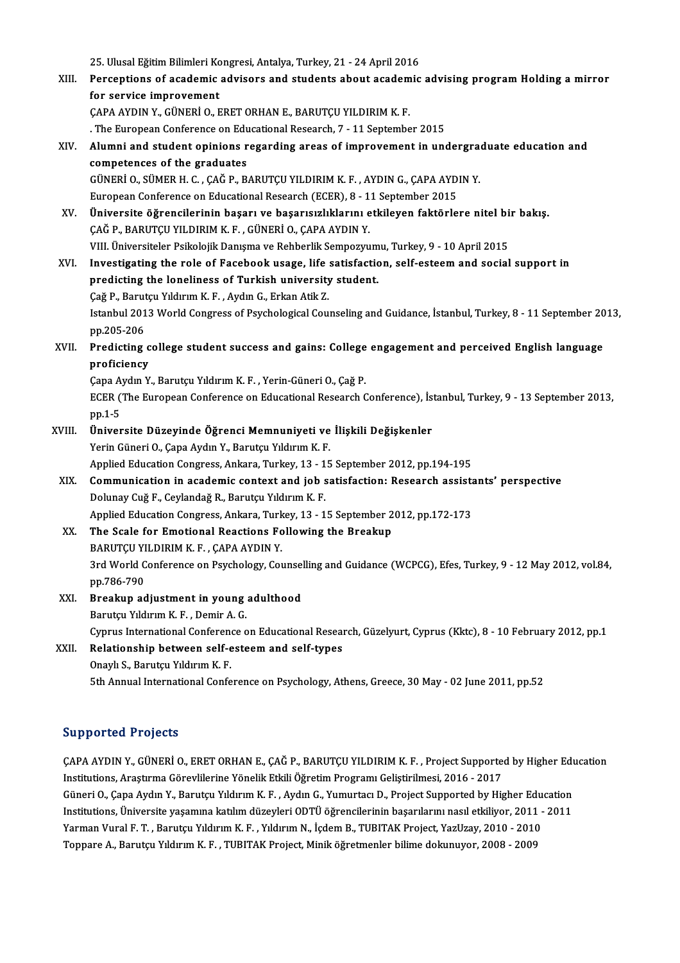25. Ulusal Eğitim Bilimleri Kongresi, Antalya, Turkey, 21 - 24 April 2016<br>Persentians of asademis advisers and students about asademis

XIII. Perceptions of academic advisors and students about academic advising program Holding a mirror<br>for service improvement 25. Ulusal Eğitim Bilimleri Ko<br>Perceptions of academic<br>for service improvement<br>CARA AYDIN V. CÜNERİ O. E for service improvement<br>ÇAPA AYDIN Y., GÜNERİ O., ERET ORHAN E., BARUTÇU YILDIRIM K. F.<br>. The European Conference on Educational Research, 7 - 11 September 2015<br>Alumni and student oninions researding areas of improvement i

ÇAPAAYDINY.,GÜNERİO.,ERETORHANE.,BARUTÇUYILDIRIMK.F.

- XIV. Alumni and student opinions regarding areas of improvement in undergraduate education and The European Conference on Edu<br>Alumni and student opinions r<br>competences of the graduates<br>CÜNEPLO SÜMEP H C CAČ P P Alumni and student opinions regarding areas of improvement in undergraded competences of the graduates<br>GÜNERİ O., SÜMER H. C. , ÇAĞ P., BARUTÇU YILDIRIM K. F. , AYDIN G., ÇAPA AYDIN Y.<br>European Conference on Educational Be competences of the graduates<br>GÜNERİ O., SÜMER H. C. , ÇAĞ P., BARUTÇU YILDIRIM K. F. , AYDIN G., ÇAPA AYD<br>European Conference on Educational Research (ECER), 8 - 11 September 2015<br>Üniversite öğrensilerinin besarı ve basarı GÜNERİ O., SÜMER H. C. , ÇAĞ P., BARUTÇU YILDIRIM K. F. , AYDIN G., ÇAPA AYDIN Y.<br>European Conference on Educational Research (ECER), 8 - 11 September 2015<br>XV. Üniversite öğrencilerinin başarı ve başarısızlıklarını etkiley European Conference on Educational Research (ECER), 8 - 1<br>Üniversite öğrencilerinin başarı ve başarısızlıklarını e<br>ÇAĞ P., BARUTÇU YILDIRIM K. F. , GÜNERİ O., ÇAPA AYDIN Y.<br>VIII. Üniversiteler Beikeleijk Denyama ve Behberl Üniversite öğrencilerinin başarı ve başarısızlıklarını etkileyen faktörlere nitel bi<br>ÇAĞ P., BARUTÇU YILDIRIM K. F. , GÜNERİ O., ÇAPA AYDIN Y.<br>VIII. Üniversiteler Psikolojik Danışma ve Rehberlik Sempozyumu, Turkey, 9 - 10 CAĞ P., BARUTÇU YILDIRIM K. F. , GÜNERİ O., ÇAPA AYDIN Y.<br>10 April 2015 - VIII. Üniversiteler Psikolojik Danışma ve Rehberlik Sempozyumu, Turkey, 9 - 10 April 2015<br>10 XVI. Investigating the role of Facebook usage, life VIII. Üniversiteler Psikolojik Danışma ve Rehberlik Sempozyum<br>Investigating the role of Facebook usage, life satisfactic<br>predicting the loneliness of Turkish university student.<br>Cež B. Barutay Vilduum K. E. Aydu C. Erkan A Investigating the role of Facebook usage, life<br>predicting the loneliness of Turkish university<br>Çağ P., Barutçu Yıldırım K. F. , Aydın G., Erkan Atik Z.<br>Istanbul 2012 World Congress of Baysholagian Cou Istanbul 2013 World Congress of Psychological Counseling and Guidance, İstanbul, Turkey, 8 - 11 September 2013,<br>pp.205-206 Çağ P., Barutçu Yıldırım K. F., Aydın G., Erkan Atik Z. Istanbul 2013 World Congress of Psychological Counseling and Guidance, İstanbul, Turkey, 8 - 11 September 20<br>pp.205-206<br>XVII. Predicting college student success and gains: College engagement and perceived English language<br>
- pp.205-206<br>Predicting c<br>proficiency Predicting college student success and gains: College<br>proficiency<br>Çapa Aydın Y., Barutçu Yıldırım K. F. , Yerin-Güneri O., Çağ P.<br>ECEP (The Euronean Conference on Educational Bessarsh G

proficiency<br>Çapa Aydın Y., Barutçu Yıldırım K. F. , Yerin-Güneri O., Çağ P.<br>ECER (The European Conference on Educational Research Conference), İstanbul, Turkey, 9 - 13 September 2013,<br>pp.1-5 Çapa Aydın Y., Barutçu Yıldırım K. F., Yerin-Güneri O., Çağ P. ECER (The European Conference on Educational Research Conference), İs<br>
pp.1-5<br>
XVIII. Üniversite Düzeyinde Öğrenci Memnuniyeti ve İlişkili Değişkenler<br>
Verin Cüneri O, Cana Aydın V, Barutçu Vıldırım K, E

## pp.1-5<br>**Üniversite Düzeyinde Öğrenci Memnuniyeti ve**<br>Yerin Güneri O., Çapa Aydın Y., Barutçu Yıldırım K. F.<br>Annlied Education Congress, Ankara, Turkey, 12, 15 Üniversite Düzeyinde Öğrenci Memnuniyeti ve İlişkili Değişkenler<br>Yerin Güneri O., Çapa Aydın Y., Barutçu Yıldırım K. F.<br>Applied Education Congress, Ankara, Turkey, 13 - 15 September 2012, pp.194-195<br>Communisation in asadem

Yerin Güneri O., Çapa Aydın Y., Barutçu Yıldırım K. F.<br>Applied Education Congress, Ankara, Turkey, 13 - 15 September 2012, pp.194-195<br>XIX. Communication in academic context and job satisfaction: Research assistants' perspe Applied Education Congress, Ankara, Turkey, 13 - 15 September 2012, pp.194-195<br>Communication in academic context and job satisfaction: Research assist<br>Dolunay Cuğ F., Ceylandağ R., Barutçu Yıldırım K. F.<br>Applied Education Communication in academic context and job satisfaction: Research assista<br>Dolunay Cuğ F., Ceylandağ R., Barutçu Yıldırım K. F.<br>Applied Education Congress, Ankara, Turkey, 13 - 15 September 2012, pp.172-173<br>The Seale for Eme

Dolunay Cuğ F., Ceylandağ R., Barutçu Yıldırım K. F.<br>Applied Education Congress, Ankara, Turkey, 13 - 15 September 2<br>XX. The Scale for Emotional Reactions Following the Breakup Applied Education Congress, Ankara, Turk<br>The Scale for Emotional Reactions Fo<br>BARUTÇU YILDIRIM K. F. , ÇAPA AYDIN Y.<br>2rd World Conference on Peychology, Co. 3rd World Conference on Psychology, Counselling and Guidance (WCPCG), Efes, Turkey, 9 - 12 May 2012, vol.84, pp.786-790 BARUTÇU YILDIRIM K.F., ÇAPA AYDIN Y. 3rd World Conference on Psychology, Counsel<br>pp.786-790<br>XXI. Breakup adjustment in young adulthood<br>Bonutau Vilduum K.E. Domin A.C.

## pp.786-790<br>Breakup adjustment in young<br>Barutçu Yıldırım K. F. , Demir A. G.<br>Cımrus International Cenference e Breakup adjustment in young adulthood<br>Barutçu Yıldırım K. F. , Demir A. G.<br>Cyprus International Conference on Educational Research, Güzelyurt, Cyprus (Kktc), 8 - 10 February 2012, pp.1<br>Relationabin baturean self esteem and

## Barutçu Yıldırım K. F. , Demir A. G.<br>Cyprus International Conference on Educational Resea:<br>XXII. Relationship between self-esteem and self-types<br>Onaylı S., Barutçu Yıldırım K. F. Cyprus International Conferen<br>Relationship between self-e<br>Onaylı S., Barutçu Yıldırım K. F.<br>Eth Annual International Confe

5th Annual International Conference on Psychology, Athens, Greece, 30 May - 02 June 2011, pp.52

### Supported Projects

Supported Projects<br>ÇAPA AYDIN Y., GÜNERİ O., ERET ORHAN E., ÇAĞ P., BARUTÇU YILDIRIM K. F. , Project Supported by Higher Education<br>Institutions, Arestume Cönevillerine Vönelik Etkik Öğretim Pregramı Celistinilmesi, 2015, , ULPPULULA I LUJUUL<br>ÇAPA AYDIN Y., GÜNERİ O., ERET ORHAN E., ÇAĞ P., BARUTÇU YILDIRIM K. F. , Project Supporte<br>Institutions, Araştırma Görevlilerine Yönelik Etkili Öğretim Programı Geliştirilmesi, 2016 - 2017<br>Cüneri O. Cana ÇAPA AYDIN Y., GÜNERİ O., ERET ORHAN E., ÇAĞ P., BARUTÇU YILDIRIM K. F. , Project Supported by Higher Edu<br>Institutions, Araştırma Görevlilerine Yönelik Etkili Öğretim Programı Geliştirilmesi, 2016 - 2017<br>Güneri O., Çapa Ay Institutions, Araştırma Görevlilerine Yönelik Etkili Öğretim Programı Geliştirilmesi, 2016 - 2017<br>Güneri O., Çapa Aydın Y., Barutçu Yıldırım K. F. , Aydın G., Yumurtacı D., Project Supported by Higher Education<br>Institution Güneri O., Çapa Aydın Y., Barutçu Yıldırım K. F. , Aydın G., Yumurtacı D., Project Supported by Higher Edu<br>Institutions, Üniversite yaşamına katılım düzeyleri ODTÜ öğrencilerinin başarılarını nasıl etkiliyor, 2011 -<br>Yarman Institutions, Üniversite yaşamına katılım düzeyleri ODTÜ öğrencilerinin başarılarını nasıl etkiliyor, 2011 - 2011<br>Yarman Vural F. T. , Barutçu Yıldırım K. F. , Yıldırım N., İçdem B., TUBITAK Project, YazUzay, 2010 - 2010<br>T